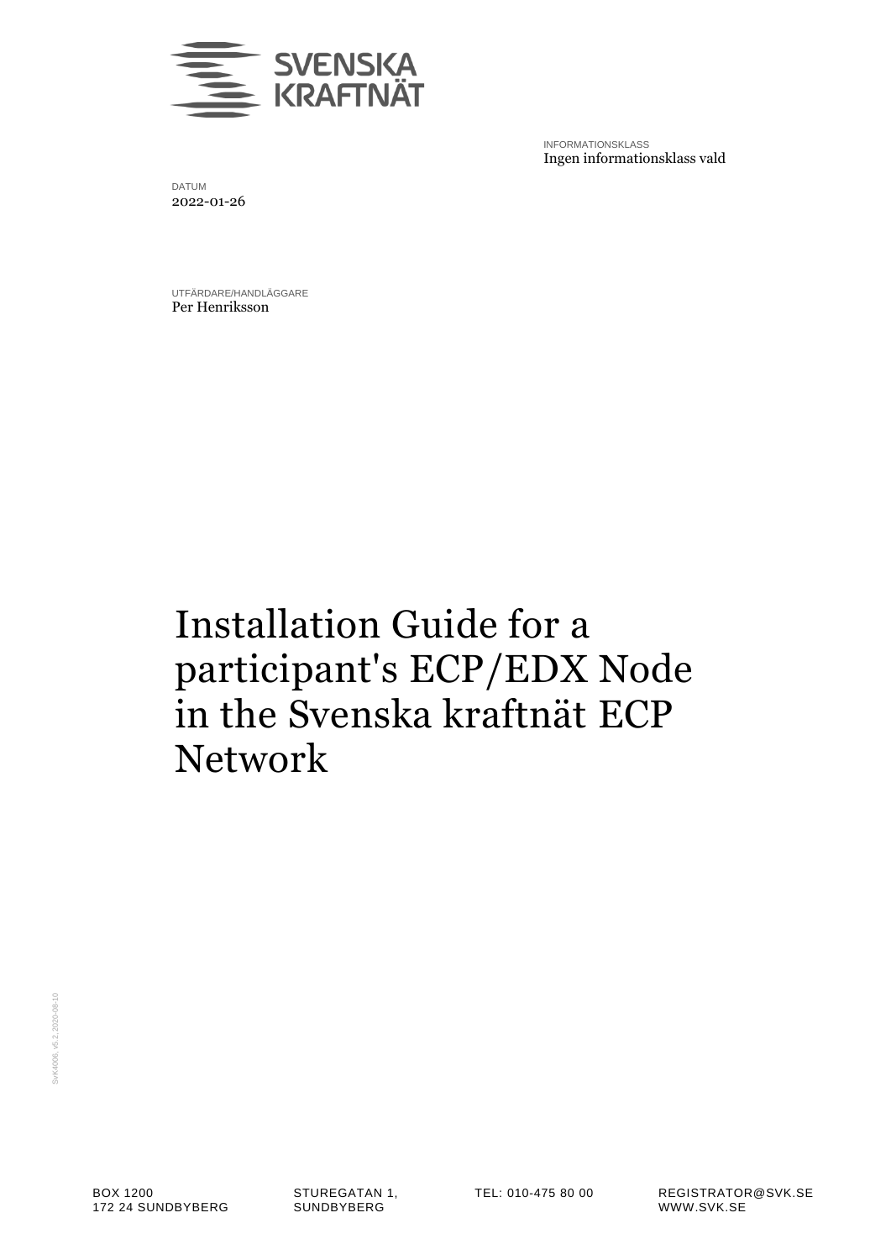

INFORMATIONSKLASS Ingen informationsklass vald

DATUM 2022-01-26

UTFÄRDARE/HANDLÄGGARE Per Henriksson

# Installation Guide for a participant's ECP/EDX Node in the Svenska kraftnät ECP Network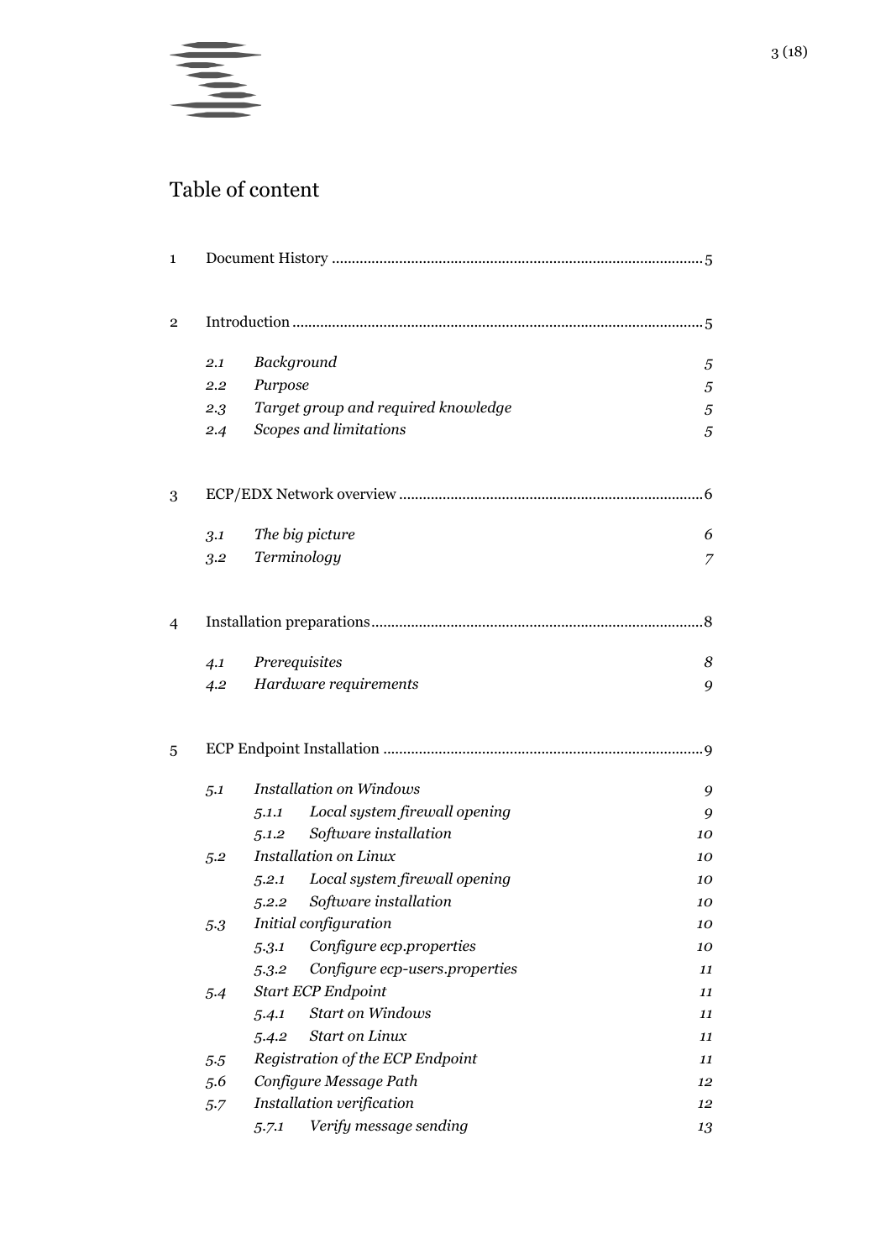

## Table of content

| 1 |     |                       |                                     |    |  |  |  |  |  |
|---|-----|-----------------------|-------------------------------------|----|--|--|--|--|--|
| 2 |     |                       |                                     |    |  |  |  |  |  |
|   | 2.1 | Background            |                                     | 5  |  |  |  |  |  |
|   | 2.2 | Purpose               |                                     | 5  |  |  |  |  |  |
|   | 2.3 |                       | Target group and required knowledge | 5  |  |  |  |  |  |
|   | 2.4 |                       | Scopes and limitations              | 5  |  |  |  |  |  |
| 3 |     |                       |                                     |    |  |  |  |  |  |
|   | 3.1 |                       | The big picture                     | 6  |  |  |  |  |  |
|   | 3.2 |                       | Terminology                         | 7  |  |  |  |  |  |
| 4 |     |                       |                                     | .8 |  |  |  |  |  |
|   | 4.1 | Prerequisites         |                                     | 8  |  |  |  |  |  |
|   | 4.2 |                       | Hardware requirements               | 9  |  |  |  |  |  |
| 5 |     |                       |                                     | .9 |  |  |  |  |  |
|   | 5.1 |                       | <b>Installation on Windows</b>      | 9  |  |  |  |  |  |
|   |     | 5.1.1                 | Local system firewall opening       | 9  |  |  |  |  |  |
|   |     | 5.1.2                 | Software installation               | 10 |  |  |  |  |  |
|   | 5.2 |                       | <b>Installation on Linux</b>        | 10 |  |  |  |  |  |
|   |     | 5.2.1                 | Local system firewall opening       | 10 |  |  |  |  |  |
|   |     |                       | 5.2.2 Software installation         | 10 |  |  |  |  |  |
|   | 5.3 | Initial configuration |                                     |    |  |  |  |  |  |
|   |     | 5.3.1                 | Configure ecp.properties            | 10 |  |  |  |  |  |
|   |     | 5.3.2                 | Configure ecp-users.properties      | 11 |  |  |  |  |  |
|   | 5.4 |                       | <b>Start ECP Endpoint</b>           | 11 |  |  |  |  |  |
|   |     | 5.4.1                 | <b>Start on Windows</b>             | 11 |  |  |  |  |  |
|   |     | 5.4.2                 | <b>Start on Linux</b>               | 11 |  |  |  |  |  |
|   | 5.5 |                       | Registration of the ECP Endpoint    | 11 |  |  |  |  |  |
|   | 5.6 |                       | Configure Message Path              | 12 |  |  |  |  |  |
|   | 5.7 |                       | Installation verification           | 12 |  |  |  |  |  |
|   |     | 5.7.1                 | Verify message sending              | 13 |  |  |  |  |  |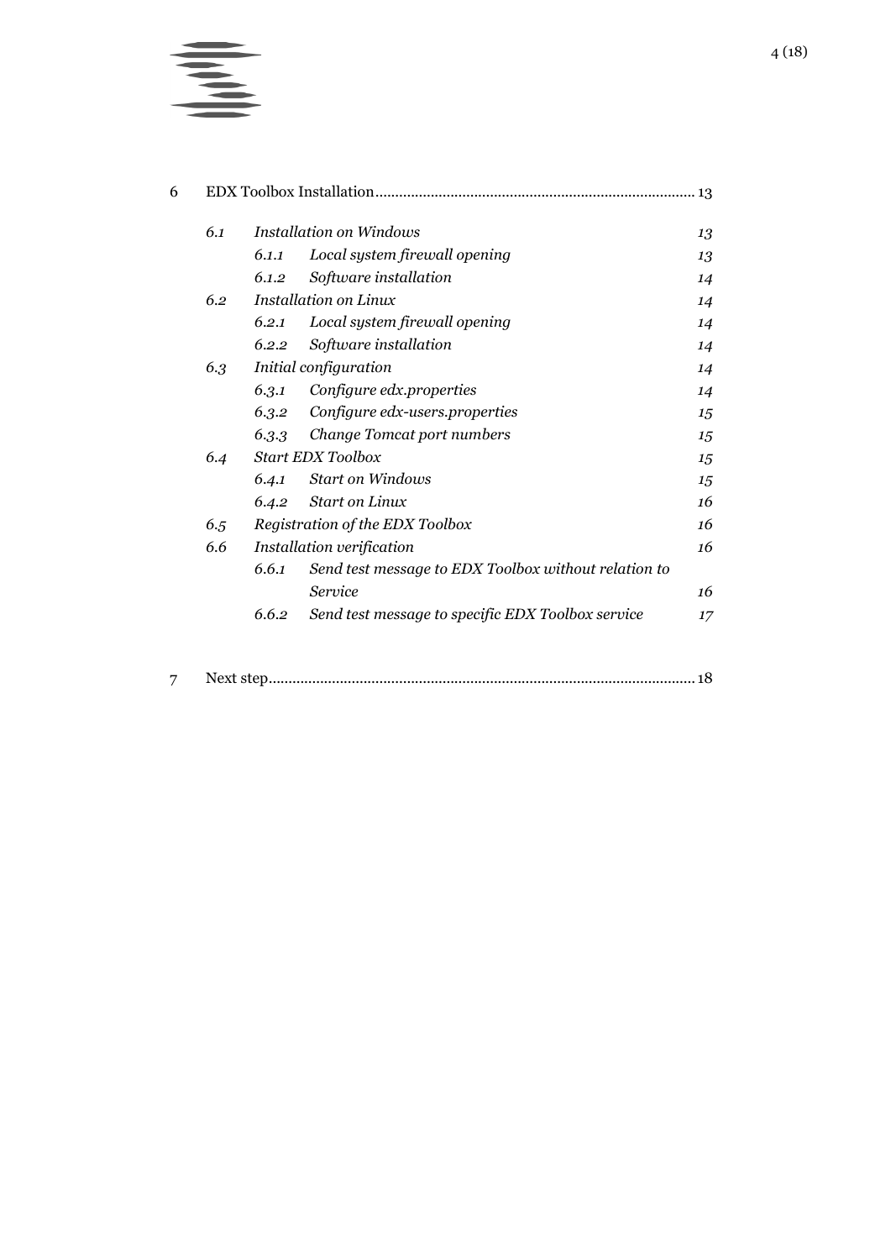

| 6.1 |                                 | <b>Installation on Windows</b>                       | 13 |  |  |  |
|-----|---------------------------------|------------------------------------------------------|----|--|--|--|
|     | 6.1.1                           | Local system firewall opening                        | 13 |  |  |  |
|     | 6.1.2                           | Software installation                                | 14 |  |  |  |
| 6.2 |                                 | <b>Installation on Linux</b>                         | 14 |  |  |  |
|     | 6.2.1                           | Local system firewall opening                        | 14 |  |  |  |
|     | 6.2.2                           | Software installation                                | 14 |  |  |  |
| 6.3 | Initial configuration           |                                                      |    |  |  |  |
|     | 6.3.1                           | Configure edx.properties                             | 14 |  |  |  |
|     | 6.3.2                           | Configure edx-users.properties                       | 15 |  |  |  |
|     | 6.3.3                           | Change Tomcat port numbers                           | 15 |  |  |  |
| 6.4 | <b>Start EDX Toolbox</b>        |                                                      |    |  |  |  |
|     | 6.4.1                           | <b>Start on Windows</b>                              | 15 |  |  |  |
|     | 6.4.2                           | <b>Start on Linux</b>                                | 16 |  |  |  |
| 6.5 | Registration of the EDX Toolbox |                                                      |    |  |  |  |
| 6.6 |                                 | Installation verification                            | 16 |  |  |  |
|     | 6.6.1                           | Send test message to EDX Toolbox without relation to |    |  |  |  |
|     |                                 | Service                                              | 16 |  |  |  |
|     | 6.6.2                           | Send test message to specific EDX Toolbox service    | 17 |  |  |  |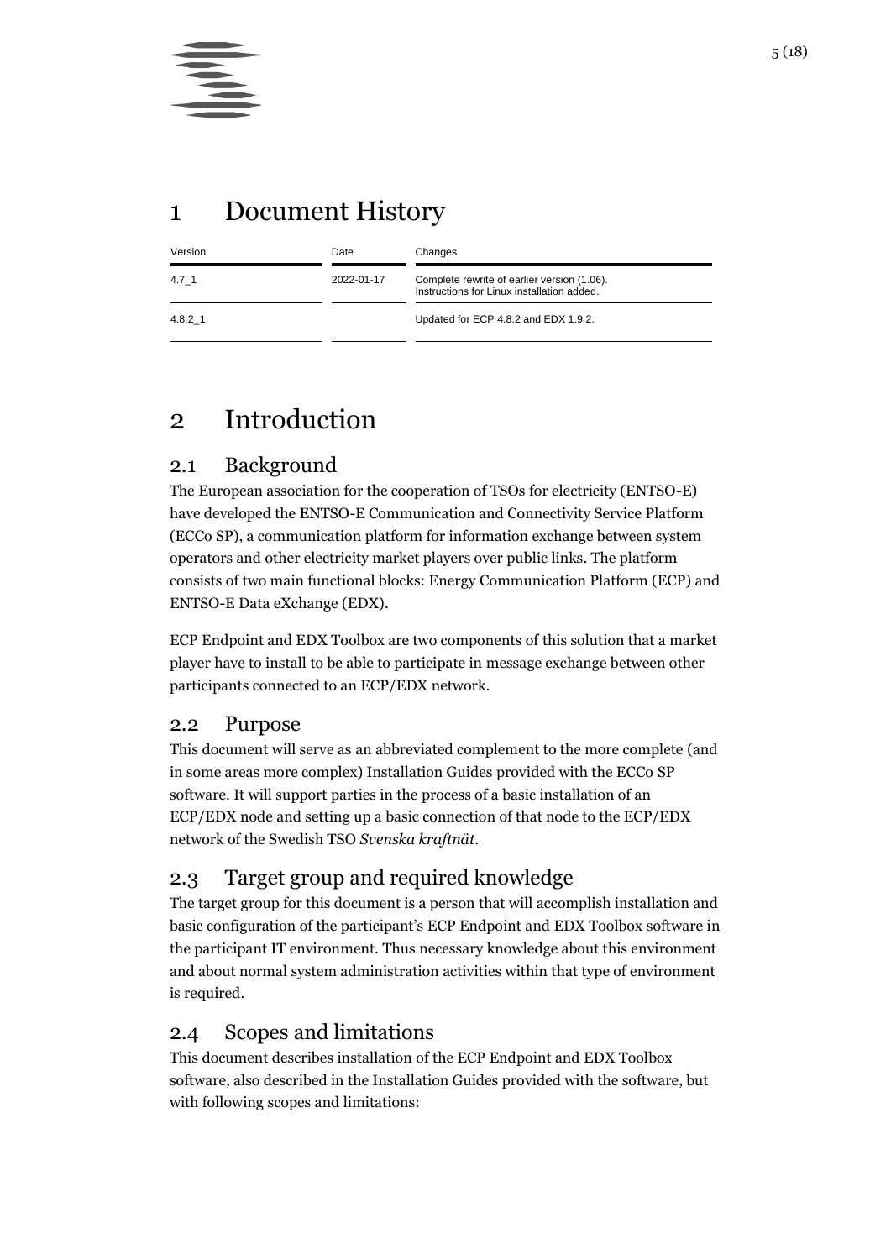## <span id="page-4-0"></span>1 Document History

| Version      | Date       | Changes                                                                                   |  |  |  |  |  |
|--------------|------------|-------------------------------------------------------------------------------------------|--|--|--|--|--|
| 4.7 1        | 2022-01-17 | Complete rewrite of earlier version (1.06).<br>Instructions for Linux installation added. |  |  |  |  |  |
| $4.8.2 \; 1$ |            | Updated for ECP 4.8.2 and EDX 1.9.2.                                                      |  |  |  |  |  |

## <span id="page-4-1"></span>2 Introduction

## <span id="page-4-2"></span>2.1 Background

The European association for the cooperation of TSOs for electricity (ENTSO-E) have developed the ENTSO-E Communication and Connectivity Service Platform (ECCo SP), a communication platform for information exchange between system operators and other electricity market players over public links. The platform consists of two main functional blocks: Energy Communication Platform (ECP) and ENTSO-E Data eXchange (EDX).

ECP Endpoint and EDX Toolbox are two components of this solution that a market player have to install to be able to participate in message exchange between other participants connected to an ECP/EDX network.

### <span id="page-4-3"></span>2.2 Purpose

This document will serve as an abbreviated complement to the more complete (and in some areas more complex) Installation Guides provided with the ECCo SP software. It will support parties in the process of a basic installation of an ECP/EDX node and setting up a basic connection of that node to the ECP/EDX network of the Swedish TSO *Svenska kraftnät*.

## <span id="page-4-4"></span>2.3 Target group and required knowledge

The target group for this document is a person that will accomplish installation and basic configuration of the participant's ECP Endpoint and EDX Toolbox software in the participant IT environment. Thus necessary knowledge about this environment and about normal system administration activities within that type of environment is required.

## <span id="page-4-5"></span>2.4 Scopes and limitations

This document describes installation of the ECP Endpoint and EDX Toolbox software, also described in the Installation Guides provided with the software, but with following scopes and limitations: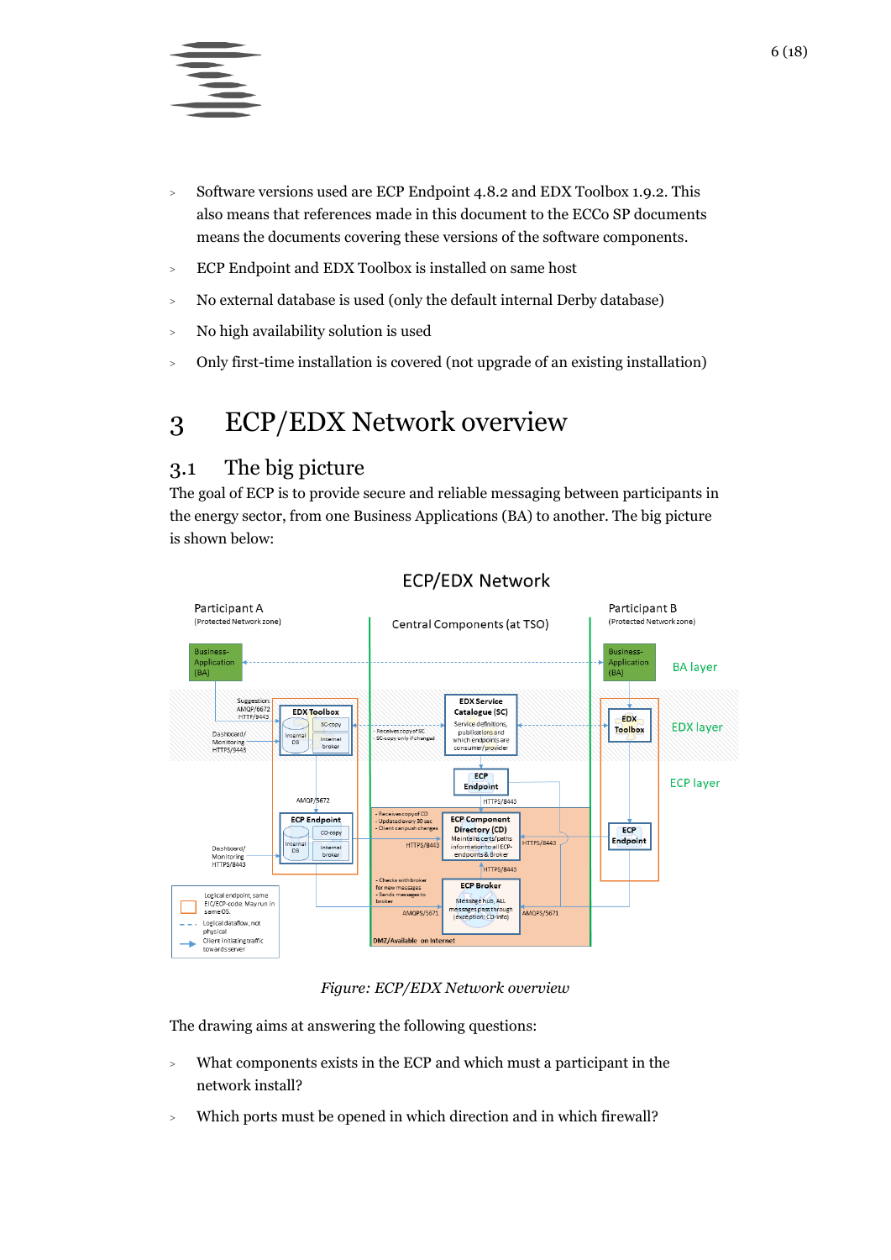

- <sup>&</sup>gt; Software versions used are ECP Endpoint 4.8.2 and EDX Toolbox 1.9.2. This also means that references made in this document to the ECCo SP documents means the documents covering these versions of the software components.
- <sup>&</sup>gt; ECP Endpoint and EDX Toolbox is installed on same host
- <sup>&</sup>gt; No external database is used (only the default internal Derby database)
- <sup>&</sup>gt; No high availability solution is used
- <sup>&</sup>gt; Only first-time installation is covered (not upgrade of an existing installation)

## <span id="page-5-0"></span>3 ECP/EDX Network overview

## <span id="page-5-1"></span>3.1 The big picture

The goal of ECP is to provide secure and reliable messaging between participants in the energy sector, from one Business Applications (BA) to another. The big picture is shown below:



#### **ECP/EDX Network**

#### *Figure: ECP/EDX Network overview*

The drawing aims at answering the following questions:

- <sup>&</sup>gt; What components exists in the ECP and which must a participant in the network install?
- <sup>&</sup>gt; Which ports must be opened in which direction and in which firewall?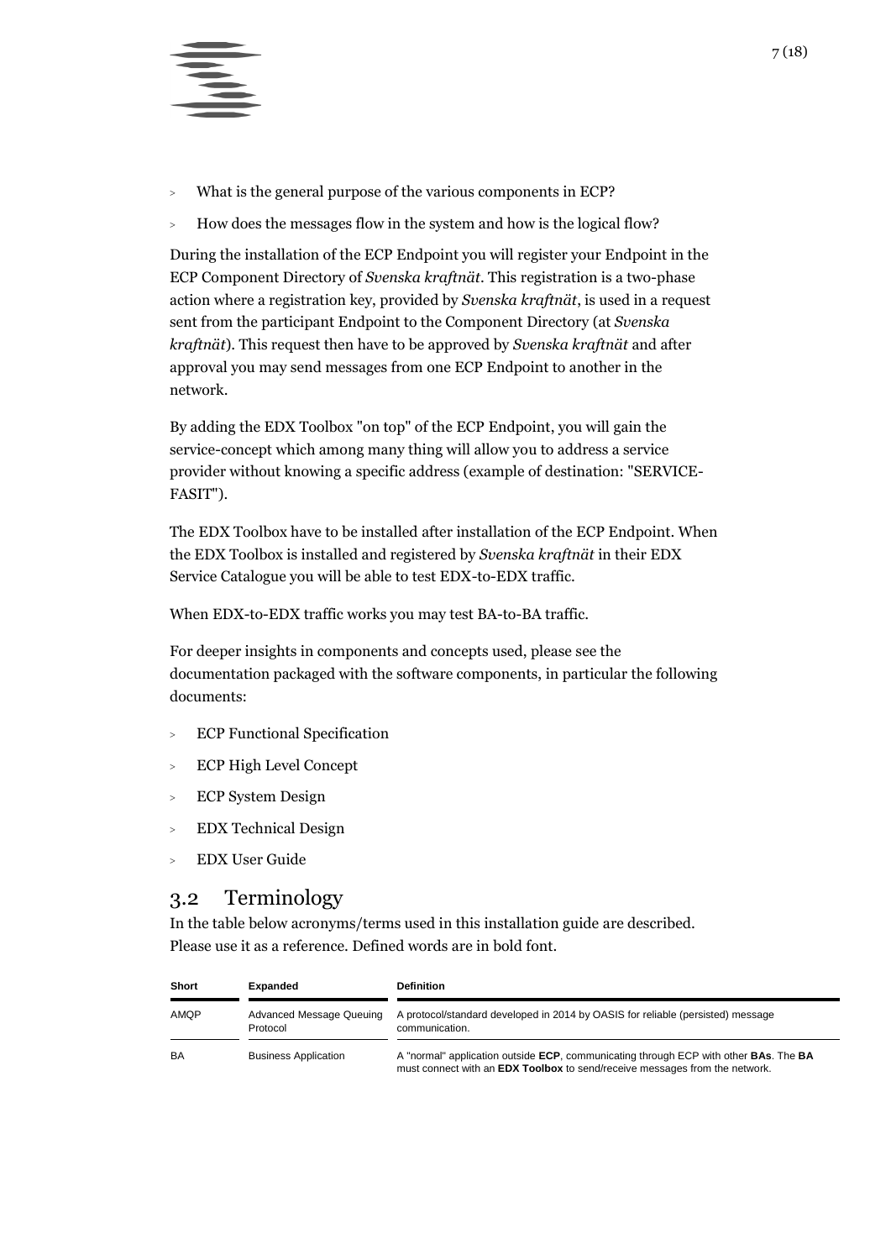

- <sup>&</sup>gt; What is the general purpose of the various components in ECP?
- <sup>&</sup>gt; How does the messages flow in the system and how is the logical flow?

During the installation of the ECP Endpoint you will register your Endpoint in the ECP Component Directory of *Svenska kraftnät*. This registration is a two-phase action where a registration key, provided by *Svenska kraftnät*, is used in a request sent from the participant Endpoint to the Component Directory (at *Svenska kraftnät*). This request then have to be approved by *Svenska kraftnät* and after approval you may send messages from one ECP Endpoint to another in the network.

By adding the EDX Toolbox "on top" of the ECP Endpoint, you will gain the service-concept which among many thing will allow you to address a service provider without knowing a specific address (example of destination: "SERVICE-FASIT").

The EDX Toolbox have to be installed after installation of the ECP Endpoint. When the EDX Toolbox is installed and registered by *Svenska kraftnät* in their EDX Service Catalogue you will be able to test EDX-to-EDX traffic.

When EDX-to-EDX traffic works you may test BA-to-BA traffic.

For deeper insights in components and concepts used, please see the documentation packaged with the software components, in particular the following documents:

- <sup>&</sup>gt; ECP Functional Specification
- <sup>&</sup>gt; ECP High Level Concept
- <sup>&</sup>gt; ECP System Design
- <sup>&</sup>gt; EDX Technical Design
- <sup>&</sup>gt; EDX User Guide

### <span id="page-6-0"></span>3.2 Terminology

In the table below acronyms/terms used in this installation guide are described. Please use it as a reference. Defined words are in bold font.

| <b>Short</b> | Expanded                             | <b>Definition</b>                                                                                                                                                   |  |  |  |  |  |  |
|--------------|--------------------------------------|---------------------------------------------------------------------------------------------------------------------------------------------------------------------|--|--|--|--|--|--|
| <b>AMQP</b>  | Advanced Message Queuing<br>Protocol | A protocol/standard developed in 2014 by OASIS for reliable (persisted) message<br>communication.                                                                   |  |  |  |  |  |  |
| BA           | <b>Business Application</b>          | A "normal" application outside ECP, communicating through ECP with other BAs. The BA<br>must connect with an EDX Toolbox to send/receive messages from the network. |  |  |  |  |  |  |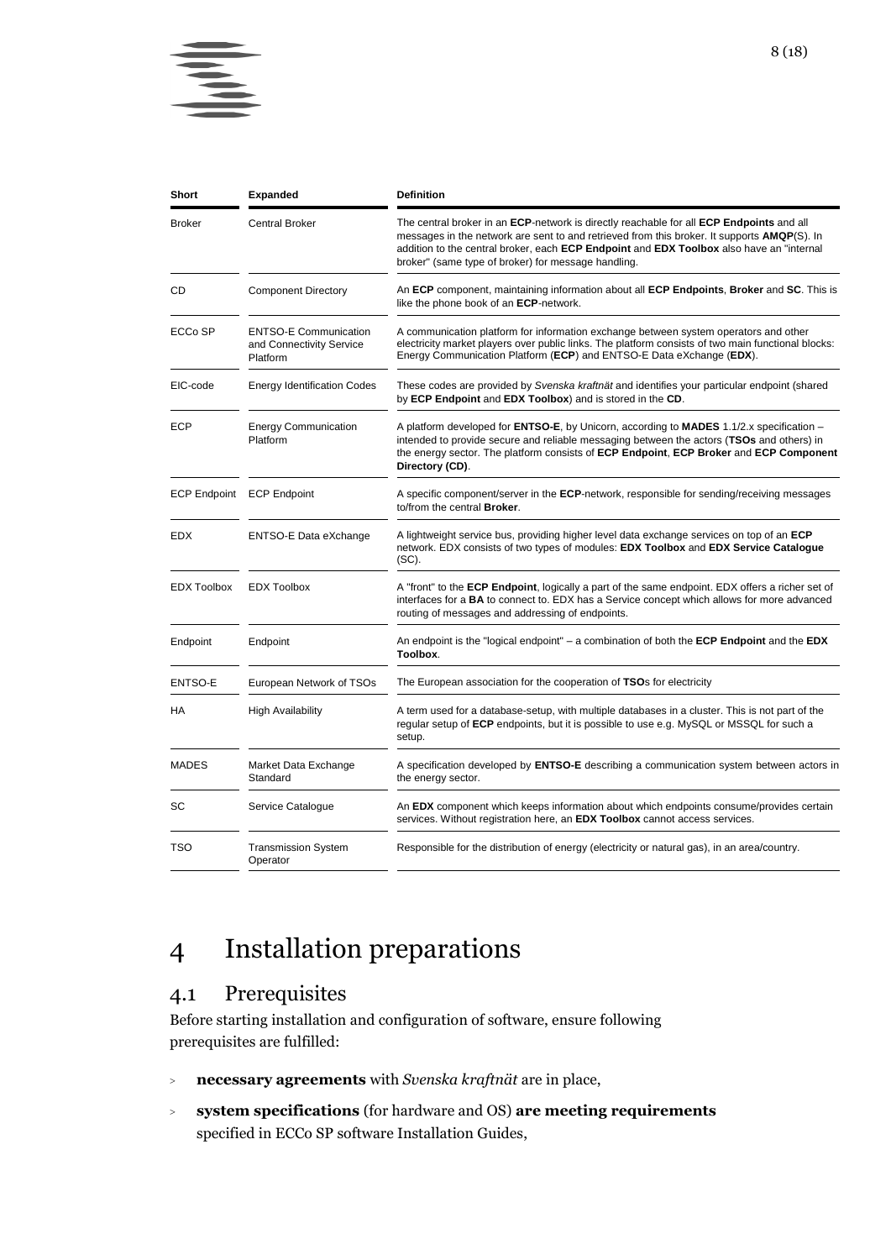

| Short              | Expanded                                                             | <b>Definition</b>                                                                                                                                                                                                                                                                                                                                  |
|--------------------|----------------------------------------------------------------------|----------------------------------------------------------------------------------------------------------------------------------------------------------------------------------------------------------------------------------------------------------------------------------------------------------------------------------------------------|
| Broker             | <b>Central Broker</b>                                                | The central broker in an ECP-network is directly reachable for all ECP Endpoints and all<br>messages in the network are sent to and retrieved from this broker. It supports <b>AMQP(S)</b> . In<br>addition to the central broker, each ECP Endpoint and EDX Toolbox also have an "internal<br>broker" (same type of broker) for message handling. |
| CD                 | <b>Component Directory</b>                                           | An ECP component, maintaining information about all ECP Endpoints, Broker and SC. This is<br>like the phone book of an ECP-network.                                                                                                                                                                                                                |
| ECCo SP            | <b>ENTSO-E Communication</b><br>and Connectivity Service<br>Platform | A communication platform for information exchange between system operators and other<br>electricity market players over public links. The platform consists of two main functional blocks:<br>Energy Communication Platform (ECP) and ENTSO-E Data eXchange (EDX).                                                                                 |
| EIC-code           | <b>Energy Identification Codes</b>                                   | These codes are provided by Svenska kraftnät and identifies your particular endpoint (shared<br>by ECP Endpoint and EDX Toolbox) and is stored in the CD.                                                                                                                                                                                          |
| ECP                | <b>Energy Communication</b><br>Platform                              | A platform developed for <b>ENTSO-E</b> , by Unicorn, according to <b>MADES</b> 1.1/2.x specification –<br>intended to provide secure and reliable messaging between the actors (TSOs and others) in<br>the energy sector. The platform consists of ECP Endpoint, ECP Broker and ECP Component<br>Directory (CD).                                  |
|                    | ECP Endpoint ECP Endpoint                                            | A specific component/server in the <b>ECP</b> -network, responsible for sending/receiving messages<br>to/from the central Broker.                                                                                                                                                                                                                  |
| EDX                | ENTSO-E Data eXchange                                                | A lightweight service bus, providing higher level data exchange services on top of an <b>ECP</b><br>network. EDX consists of two types of modules: EDX Toolbox and EDX Service Catalogue<br>$(SC)$ .                                                                                                                                               |
| <b>EDX Toolbox</b> | <b>EDX Toolbox</b>                                                   | A "front" to the <b>ECP Endpoint</b> , logically a part of the same endpoint. EDX offers a richer set of<br>interfaces for a <b>BA</b> to connect to. EDX has a Service concept which allows for more advanced<br>routing of messages and addressing of endpoints.                                                                                 |
| Endpoint           | Endpoint                                                             | An endpoint is the "logical endpoint" – a combination of both the <b>ECP Endpoint</b> and the <b>EDX</b><br>Toolbox.                                                                                                                                                                                                                               |
| ENTSO-E            | European Network of TSOs                                             | The European association for the cooperation of TSOs for electricity                                                                                                                                                                                                                                                                               |
| НA                 | <b>High Availability</b>                                             | A term used for a database-setup, with multiple databases in a cluster. This is not part of the<br>regular setup of ECP endpoints, but it is possible to use e.g. MySQL or MSSQL for such a<br>setup.                                                                                                                                              |
| MADES              | Market Data Exchange<br>Standard                                     | A specification developed by <b>ENTSO-E</b> describing a communication system between actors in<br>the energy sector.                                                                                                                                                                                                                              |
| SC                 | Service Catalogue                                                    | An EDX component which keeps information about which endpoints consume/provides certain<br>services. Without registration here, an EDX Toolbox cannot access services.                                                                                                                                                                             |
| TSO                | <b>Transmission System</b><br>Operator                               | Responsible for the distribution of energy (electricity or natural gas), in an area/country.                                                                                                                                                                                                                                                       |

## <span id="page-7-0"></span>4 Installation preparations

## <span id="page-7-1"></span>4.1 Prerequisites

Before starting installation and configuration of software, ensure following prerequisites are fulfilled:

- <sup>&</sup>gt; **necessary agreements** with *Svenska kraftnät* are in place,
- <sup>&</sup>gt; **system specifications** (for hardware and OS) **are meeting requirements** specified in ECCo SP software Installation Guides,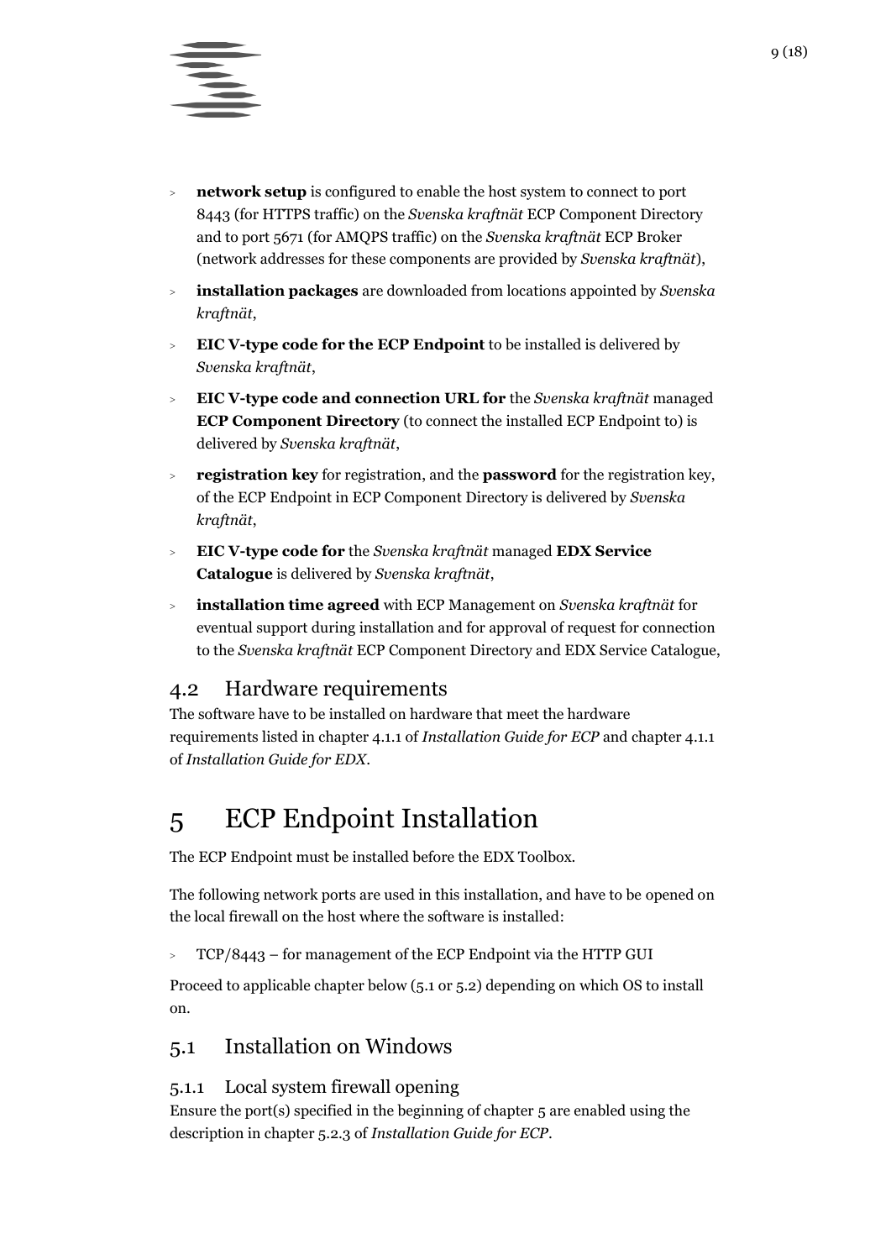

- <sup>&</sup>gt; **network setup** is configured to enable the host system to connect to port 8443 (for HTTPS traffic) on the *Svenska kraftnät* ECP Component Directory and to port 5671 (for AMQPS traffic) on the *Svenska kraftnät* ECP Broker (network addresses for these components are provided by *Svenska kraftnät*),
- <sup>&</sup>gt; **installation packages** are downloaded from locations appointed by *Svenska kraftnät*,
- <sup>&</sup>gt; **EIC V-type code for the ECP Endpoint** to be installed is delivered by *Svenska kraftnät*,
- <sup>&</sup>gt; **EIC V-type code and connection URL for** the *Svenska kraftnät* managed **ECP Component Directory** (to connect the installed ECP Endpoint to) is delivered by *Svenska kraftnät*,
- <sup>&</sup>gt; **registration key** for registration, and the **password** for the registration key, of the ECP Endpoint in ECP Component Directory is delivered by *Svenska kraftnät*,
- <sup>&</sup>gt; **EIC V-type code for** the *Svenska kraftnät* managed **EDX Service Catalogue** is delivered by *Svenska kraftnät*,
- <sup>&</sup>gt; **installation time agreed** with ECP Management on *Svenska kraftnät* for eventual support during installation and for approval of request for connection to the *Svenska kraftnät* ECP Component Directory and EDX Service Catalogue,

## <span id="page-8-0"></span>4.2 Hardware requirements

The software have to be installed on hardware that meet the hardware requirements listed in chapter 4.1.1 of *Installation Guide for ECP* and chapter 4.1.1 of *Installation Guide for EDX*.

## <span id="page-8-1"></span>5 ECP Endpoint Installation

The ECP Endpoint must be installed before the EDX Toolbox.

The following network ports are used in this installation, and have to be opened on the local firewall on the host where the software is installed:

 $\text{C}$  TCP/8443 – for management of the ECP Endpoint via the HTTP GUI

Proceed to applicable chapter below [\(5.1](#page-8-2) or [5.2\)](#page-9-1) depending on which OS to install on.

### <span id="page-8-2"></span>5.1 Installation on Windows

#### <span id="page-8-3"></span>5.1.1 Local system firewall opening

Ensure the port(s) specified in the beginning of chapter [5](#page-8-1) are enabled using the description in chapter 5.2.3 of *Installation Guide for ECP*.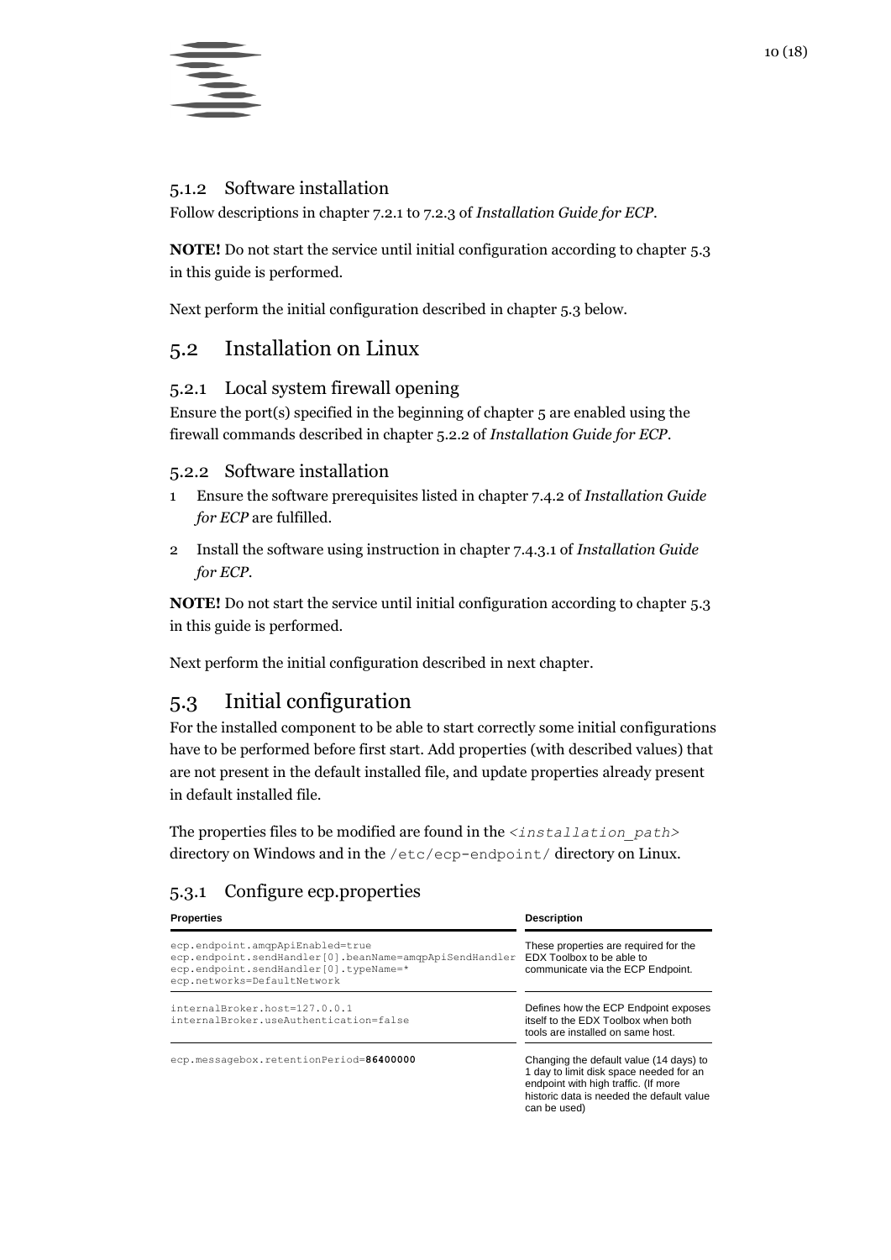

#### <span id="page-9-0"></span>5.1.2 Software installation

Follow descriptions in chapter 7.2.1 to 7.2.3 of *Installation Guide for ECP*.

**NOTE!** Do not start the service until initial configuration according to chapter [5.3](#page-9-4) in this guide is performed.

Next perform the initial configuration described in chapte[r 5.3](#page-9-4) below.

## <span id="page-9-1"></span>5.2 Installation on Linux

#### <span id="page-9-2"></span>5.2.1 Local system firewall opening

Ensure the port(s) specified in the beginning of chapter [5](#page-8-1) are enabled using the firewall commands described in chapter 5.2.2 of *Installation Guide for ECP*.

#### <span id="page-9-3"></span>5.2.2 Software installation

- 1 Ensure the software prerequisites listed in chapter 7.4.2 of *Installation Guide for ECP* are fulfilled.
- 2 Install the software using instruction in chapter 7.4.3.1 of *Installation Guide for ECP*.

**NOTE!** Do not start the service until initial configuration according to chapter [5.3](#page-9-4) in this guide is performed.

Next perform the initial configuration described in next chapter.

## <span id="page-9-4"></span>5.3 Initial configuration

For the installed component to be able to start correctly some initial configurations have to be performed before first start. Add properties (with described values) that are not present in the default installed file, and update properties already present in default installed file.

The properties files to be modified are found in the *<installation\_path>* directory on Windows and in the /etc/ecp-endpoint/ directory on Linux.

#### <span id="page-9-5"></span>5.3.1 Configure ecp.properties

| <b>Properties</b>                                                                                                                                                    | <b>Description</b>                                                                                                                                                                      |  |  |  |
|----------------------------------------------------------------------------------------------------------------------------------------------------------------------|-----------------------------------------------------------------------------------------------------------------------------------------------------------------------------------------|--|--|--|
| ecp.endpoint.amqpApiEnabled=true<br>ecp.endpoint.sendHandler[0].beanName=amqpApiSendHandler<br>ecp.endpoint.sendHandler[0].typeName=*<br>ecp.networks=DefaultNetwork | These properties are required for the<br>EDX Toolbox to be able to<br>communicate via the ECP Endpoint.                                                                                 |  |  |  |
| internalBroker.host=127.0.0.1<br>internalBroker.useAuthentication=false                                                                                              | Defines how the ECP Endpoint exposes<br>itself to the EDX Toolbox when both<br>tools are installed on same host.                                                                        |  |  |  |
| ecp.messagebox.retentionPeriod=86400000                                                                                                                              | Changing the default value (14 days) to<br>1 day to limit disk space needed for an<br>endpoint with high traffic. (If more<br>historic data is needed the default value<br>can be used) |  |  |  |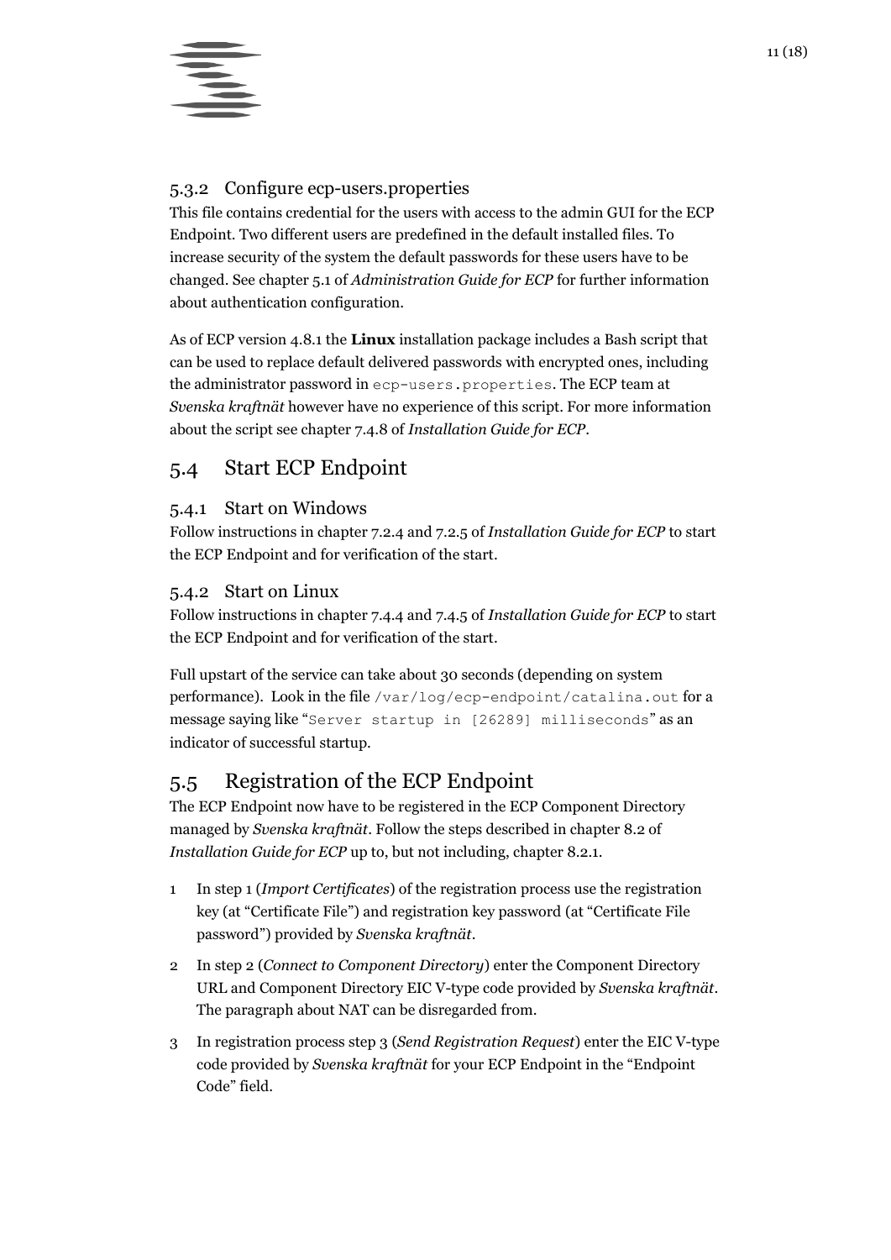

#### <span id="page-10-0"></span>5.3.2 Configure ecp-users.properties

This file contains credential for the users with access to the admin GUI for the ECP Endpoint. Two different users are predefined in the default installed files. To increase security of the system the default passwords for these users have to be changed. See chapter 5.1 of *Administration Guide for ECP* for further information about authentication configuration.

As of ECP version 4.8.1 the **Linux** installation package includes a Bash script that can be used to replace default delivered passwords with encrypted ones, including the administrator password in ecp-users.properties. The ECP team at *Svenska kraftnät* however have no experience of this script. For more information about the script see chapter 7.4.8 of *Installation Guide for ECP*.

### <span id="page-10-1"></span>5.4 Start ECP Endpoint

#### <span id="page-10-2"></span>5.4.1 Start on Windows

Follow instructions in chapter 7.2.4 and 7.2.5 of *Installation Guide for ECP* to start the ECP Endpoint and for verification of the start.

#### <span id="page-10-3"></span>5.4.2 Start on Linux

Follow instructions in chapter 7.4.4 and 7.4.5 of *Installation Guide for ECP* to start the ECP Endpoint and for verification of the start.

Full upstart of the service can take about 30 seconds (depending on system performance). Look in the file  $/var/log/ecp-endpoint/catalina.out$  for a message saying like "Server startup in [26289] milliseconds" as an indicator of successful startup.

## <span id="page-10-4"></span>5.5 Registration of the ECP Endpoint

The ECP Endpoint now have to be registered in the ECP Component Directory managed by *Svenska kraftnät*. Follow the steps described in chapter 8.2 of *Installation Guide for ECP* up to, but not including, chapter 8.2.1.

- 1 In step 1 (*Import Certificates*) of the registration process use the registration key (at "Certificate File") and registration key password (at "Certificate File password") provided by *Svenska kraftnät*.
- 2 In step 2 (*Connect to Component Directory*) enter the Component Directory URL and Component Directory EIC V-type code provided by *Svenska kraftnät*. The paragraph about NAT can be disregarded from.
- <span id="page-10-5"></span>3 In registration process step 3 (*Send Registration Request*) enter the EIC V-type code provided by *Svenska kraftnät* for your ECP Endpoint in the "Endpoint Code" field.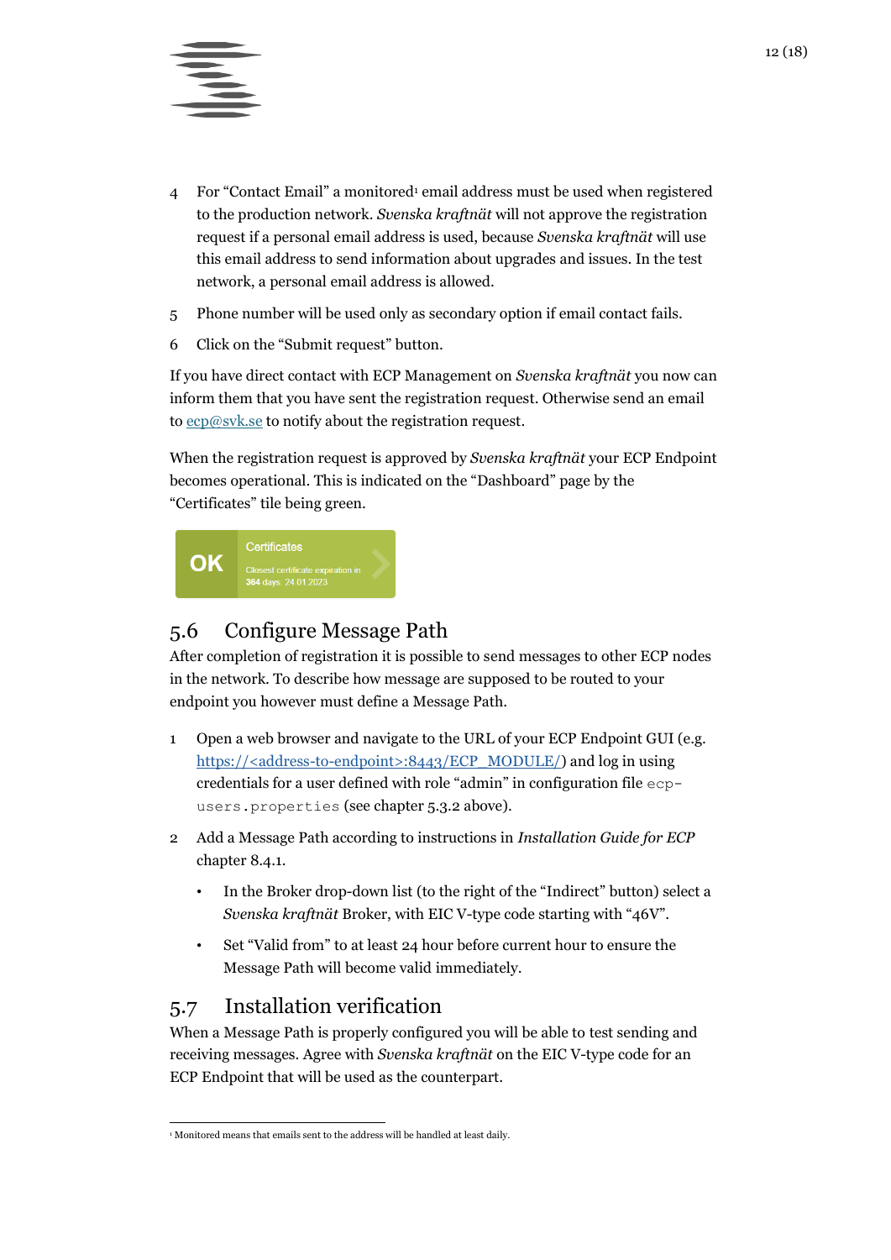

- 4 For "Contact Email" a monitored<sup>1</sup> email address must be used when registered to the production network. *Svenska kraftnät* will not approve the registration request if a personal email address is used, because *Svenska kraftnät* will use this email address to send information about upgrades and issues. In the test network, a personal email address is allowed.
- 5 Phone number will be used only as secondary option if email contact fails.
- 6 Click on the "Submit request" button.

If you have direct contact with ECP Management on *Svenska kraftnät* you now can inform them that you have sent the registration request. Otherwise send an email t[o ecp@svk.se](mailto:ecp@svk.se) to notify about the registration request.

When the registration request is approved by *Svenska kraftnät* your ECP Endpoint becomes operational. This is indicated on the "Dashboard" page by the "Certificates" tile being green.



## <span id="page-11-0"></span>5.6 Configure Message Path

After completion of registration it is possible to send messages to other ECP nodes in the network. To describe how message are supposed to be routed to your endpoint you however must define a Message Path.

- 1 Open a web browser and navigate to the URL of your ECP Endpoint GUI (e.g. https://<address-to-endpoint>:8443/ECP\_MODULE/) and log in using credentials for a user defined with role "admin" in configuration file ecpusers.properties (see chapter [5.3.2](#page-10-0) above).
- 2 Add a Message Path according to instructions in *Installation Guide for ECP* chapter 8.4.1.
	- In the Broker drop-down list (to the right of the "Indirect" button) select a *Svenska kraftnät* Broker, with EIC V-type code starting with "46V".
	- Set "Valid from" to at least 24 hour before current hour to ensure the Message Path will become valid immediately.

## <span id="page-11-1"></span>5.7 Installation verification

When a Message Path is properly configured you will be able to test sending and receiving messages. Agree with *Svenska kraftnät* on the EIC V-type code for an ECP Endpoint that will be used as the counterpart.

 <sup>1</sup> Monitored means that emails sent to the address will be handled at least daily.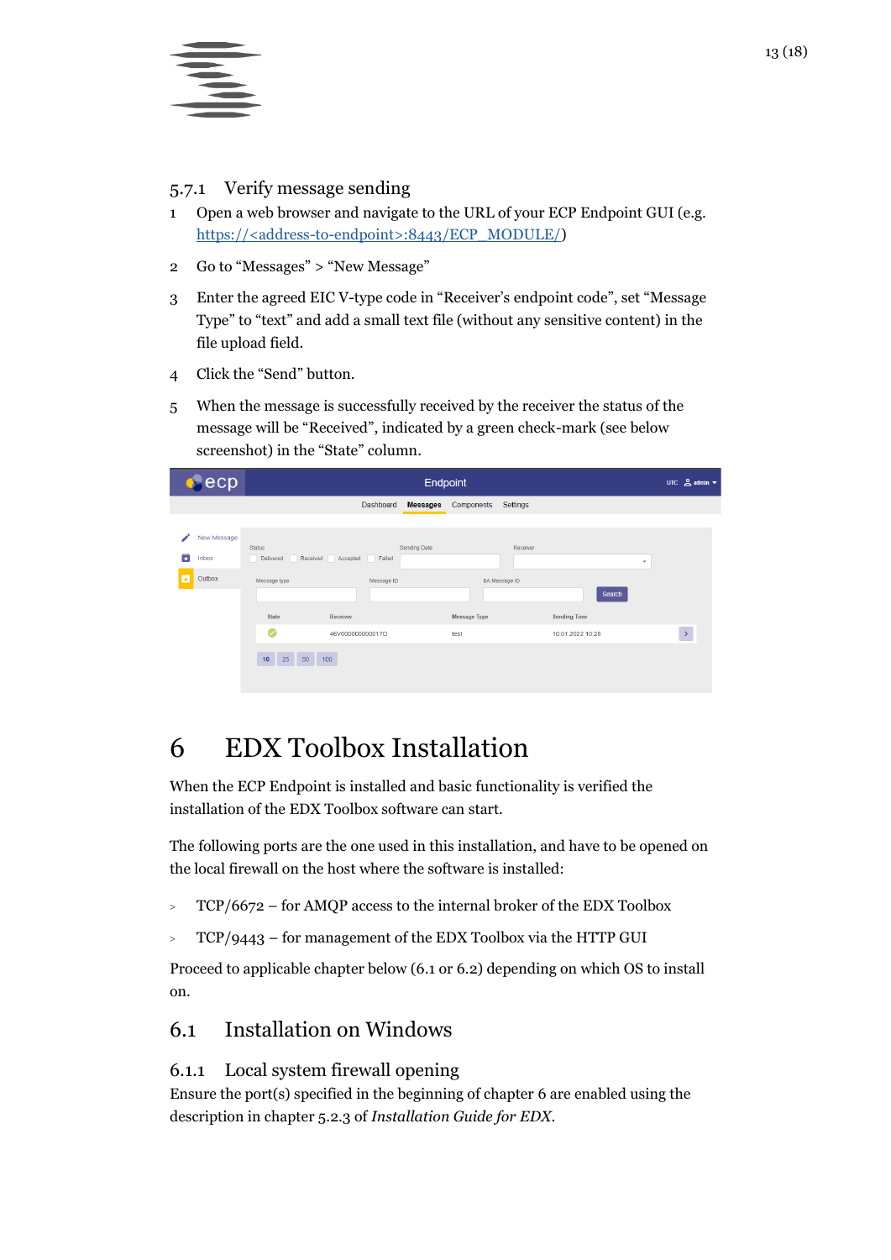

#### <span id="page-12-0"></span>5.7.1 Verify message sending

- 1 Open a web browser and navigate to the URL of your ECP Endpoint GUI (e.g. https://<address-to-endpoint>:8443/ECP\_MODULE/)
- 2 Go to "Messages" > "New Message"
- 3 Enter the agreed EIC V-type code in "Receiver's endpoint code", set "Message Type" to "text" and add a small text file (without any sensitive content) in the file upload field.
- 4 Click the "Send" button.
- 5 When the message is successfully received by the receiver the status of the message will be "Received", indicated by a green check-mark (see below screenshot) in the "State" column.

|              | ecp                            |                                                                 |                                                     |                      | Endpoint        |                             |                                  |                                                   |   | UTC $\triangleq$ admin $\blacktriangledown$ |  |
|--------------|--------------------------------|-----------------------------------------------------------------|-----------------------------------------------------|----------------------|-----------------|-----------------------------|----------------------------------|---------------------------------------------------|---|---------------------------------------------|--|
|              |                                |                                                                 |                                                     | Dashboard            | <b>Messages</b> | Components                  | Settings                         |                                                   |   |                                             |  |
| ∕<br>₹<br>I۰ | New Message<br>Inbox<br>Outbox | <b>Status</b><br>Delivered<br>Message type<br><b>State</b><br>Ø | Accepted<br>Received<br>Receiver<br>46V00000000017O | Failed<br>Message ID | Sending Date    | <b>Message Type</b><br>test | Receiver<br><b>BA Message ID</b> | Search<br><b>Sending Time</b><br>10.01.2022 10:28 | ۰ | $\,$                                        |  |
|              |                                | 25<br>10                                                        | 50 100                                              |                      |                 |                             |                                  |                                                   |   |                                             |  |

## <span id="page-12-1"></span>6 EDX Toolbox Installation

When the ECP Endpoint is installed and basic functionality is verified the installation of the EDX Toolbox software can start.

The following ports are the one used in this installation, and have to be opened on the local firewall on the host where the software is installed:

- $\text{PTCP}/6672 \text{for AMQP}$  access to the internal broker of the EDX Toolbox
- $\text{C}$  TCP/9443 for management of the EDX Toolbox via the HTTP GUI

Proceed to applicable chapter below [\(6.1](#page-12-2) or [6.2\)](#page-13-1) depending on which OS to install on.

## <span id="page-12-2"></span>6.1 Installation on Windows

#### <span id="page-12-3"></span>6.1.1 Local system firewall opening

Ensure the port(s) specified in the beginning of chapter [6](#page-12-1) are enabled using the description in chapter 5.2.3 of *Installation Guide for EDX*.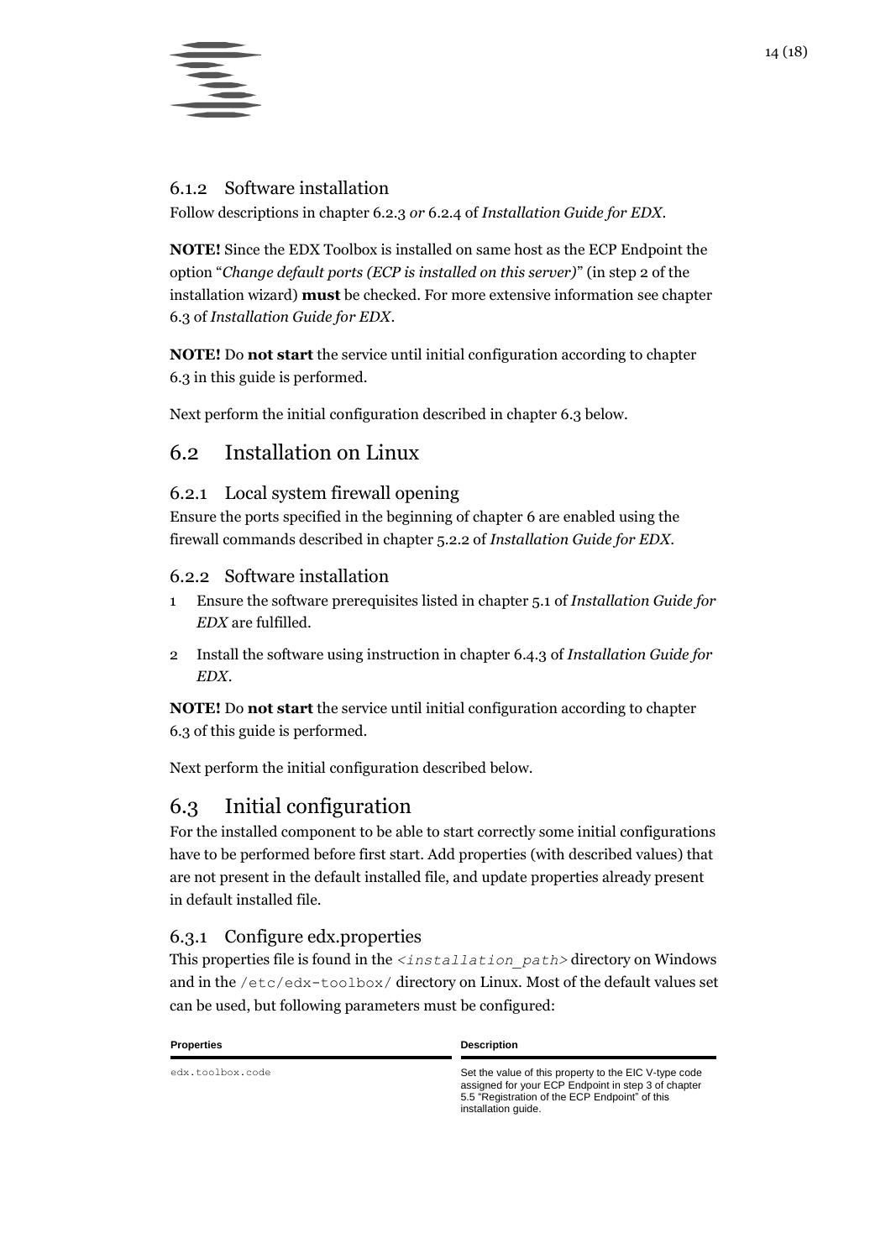

#### <span id="page-13-0"></span>6.1.2 Software installation

Follow descriptions in chapter 6.2.3 *or* 6.2.4 of *Installation Guide for EDX*.

**NOTE!** Since the EDX Toolbox is installed on same host as the ECP Endpoint the option "*Change default ports (ECP is installed on this server)*" (in step 2 of the installation wizard) **must** be checked. For more extensive information see chapter 6.3 of *Installation Guide for EDX*.

**NOTE!** Do **not start** the service until initial configuration according to chapter [6.3](#page-13-4) in this guide is performed.

Next perform the initial configuration described in chapte[r 6.3](#page-13-4) below.

## <span id="page-13-1"></span>6.2 Installation on Linux

#### <span id="page-13-2"></span>6.2.1 Local system firewall opening

Ensure the ports specified in the beginning of chapter [6](#page-12-1) are enabled using the firewall commands described in chapter 5.2.2 of *Installation Guide for EDX*.

#### <span id="page-13-3"></span>6.2.2 Software installation

- 1 Ensure the software prerequisites listed in chapter 5.1 of *Installation Guide for EDX* are fulfilled.
- 2 Install the software using instruction in chapter 6.4.3 of *Installation Guide for EDX*.

**NOTE!** Do **not start** the service until initial configuration according to chapter [6.3](#page-13-4) of this guide is performed.

Next perform the initial configuration described below.

## <span id="page-13-4"></span>6.3 Initial configuration

For the installed component to be able to start correctly some initial configurations have to be performed before first start. Add properties (with described values) that are not present in the default installed file, and update properties already present in default installed file.

#### <span id="page-13-5"></span>6.3.1 Configure edx.properties

This properties file is found in the *<installation\_path>* directory on Windows and in the /etc/edx-toolbox/ directory on Linux. Most of the default values set can be used, but following parameters must be configured:

#### **Properties Description**

edx.toolbox.code Set the value of this property to the EIC V-type code assigned for your ECP Endpoint in step [3](#page-10-5) of chapter [5.5](#page-10-4) ["Registration of the ECP Endpoint"](#page-10-4) of this installation guide.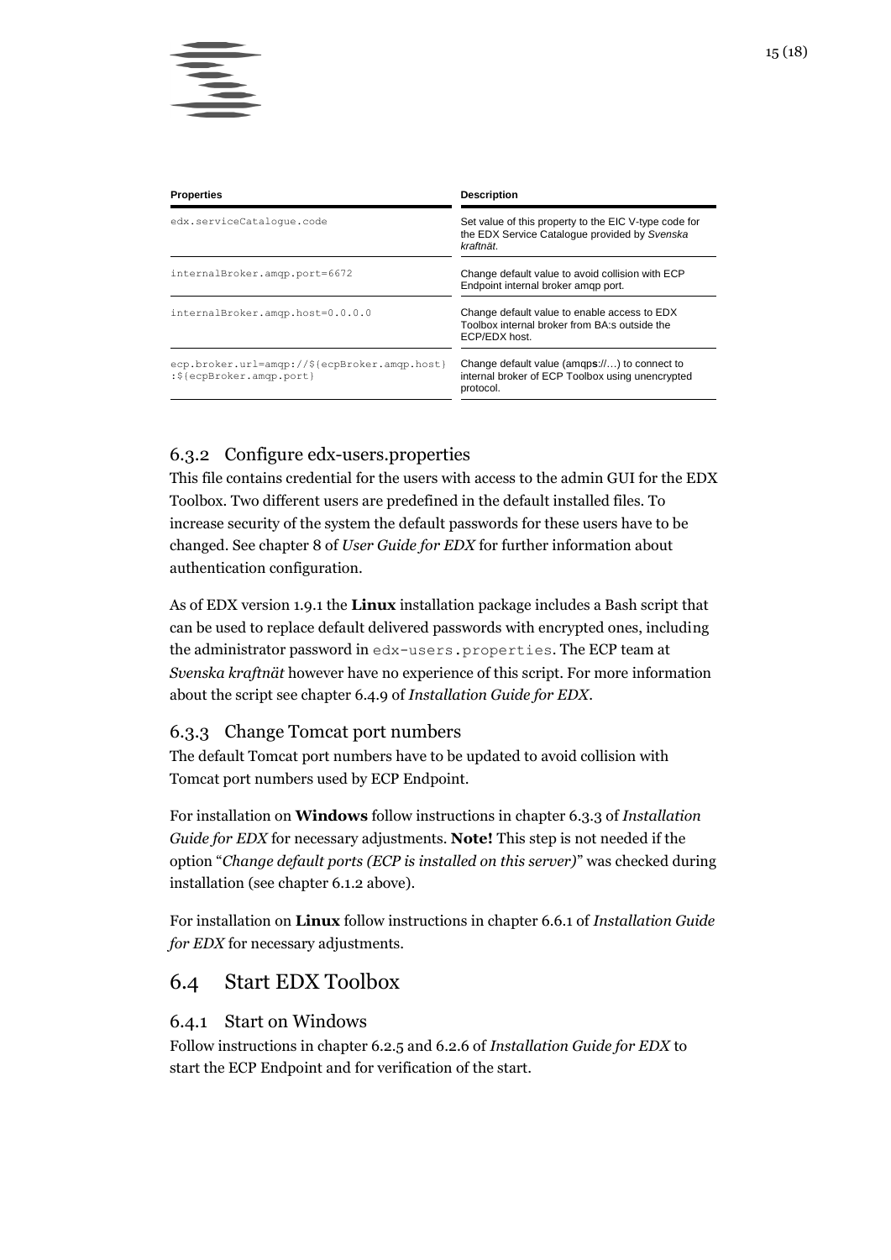| <b>Properties</b>                                                         | <b>Description</b>                                                                                                  |
|---------------------------------------------------------------------------|---------------------------------------------------------------------------------------------------------------------|
| edx.serviceCataloque.code                                                 | Set value of this property to the EIC V-type code for<br>the EDX Service Catalogue provided by Svenska<br>kraftnät. |
| internalBroker.amgp.port=6672                                             | Change default value to avoid collision with ECP<br>Endpoint internal broker amgp port.                             |
| internalBroker.amgp.host=0.0.0.0                                          | Change default value to enable access to EDX<br>Toolbox internal broker from BA:s outside the<br>ECP/EDX host.      |
| ecp.broker.url=amqp://\${ecpBroker.amqp.host}<br>:\${ecpBroker.amqp.port} | Change default value (amgps://) to connect to<br>internal broker of ECP Toolbox using unencrypted<br>protocol.      |

#### <span id="page-14-0"></span>6.3.2 Configure edx-users.properties

This file contains credential for the users with access to the admin GUI for the EDX Toolbox. Two different users are predefined in the default installed files. To increase security of the system the default passwords for these users have to be changed. See chapter 8 of *User Guide for EDX* for further information about authentication configuration.

As of EDX version 1.9.1 the **Linux** installation package includes a Bash script that can be used to replace default delivered passwords with encrypted ones, including the administrator password in edx-users.properties. The ECP team at *Svenska kraftnät* however have no experience of this script. For more information about the script see chapter 6.4.9 of *Installation Guide for EDX*.

#### <span id="page-14-1"></span>6.3.3 Change Tomcat port numbers

The default Tomcat port numbers have to be updated to avoid collision with Tomcat port numbers used by ECP Endpoint.

For installation on **Windows** follow instructions in chapter 6.3.3 of *Installation Guide for EDX* for necessary adjustments. **Note!** This step is not needed if the option "*Change default ports (ECP is installed on this server)*" was checked during installation (see chapter [6.1.2](#page-13-0) above).

For installation on **Linux** follow instructions in chapter 6.6.1 of *Installation Guide for EDX* for necessary adjustments.

### <span id="page-14-2"></span>6.4 Start EDX Toolbox

#### <span id="page-14-3"></span>6.4.1 Start on Windows

Follow instructions in chapter 6.2.5 and 6.2.6 of *Installation Guide for EDX* to start the ECP Endpoint and for verification of the start.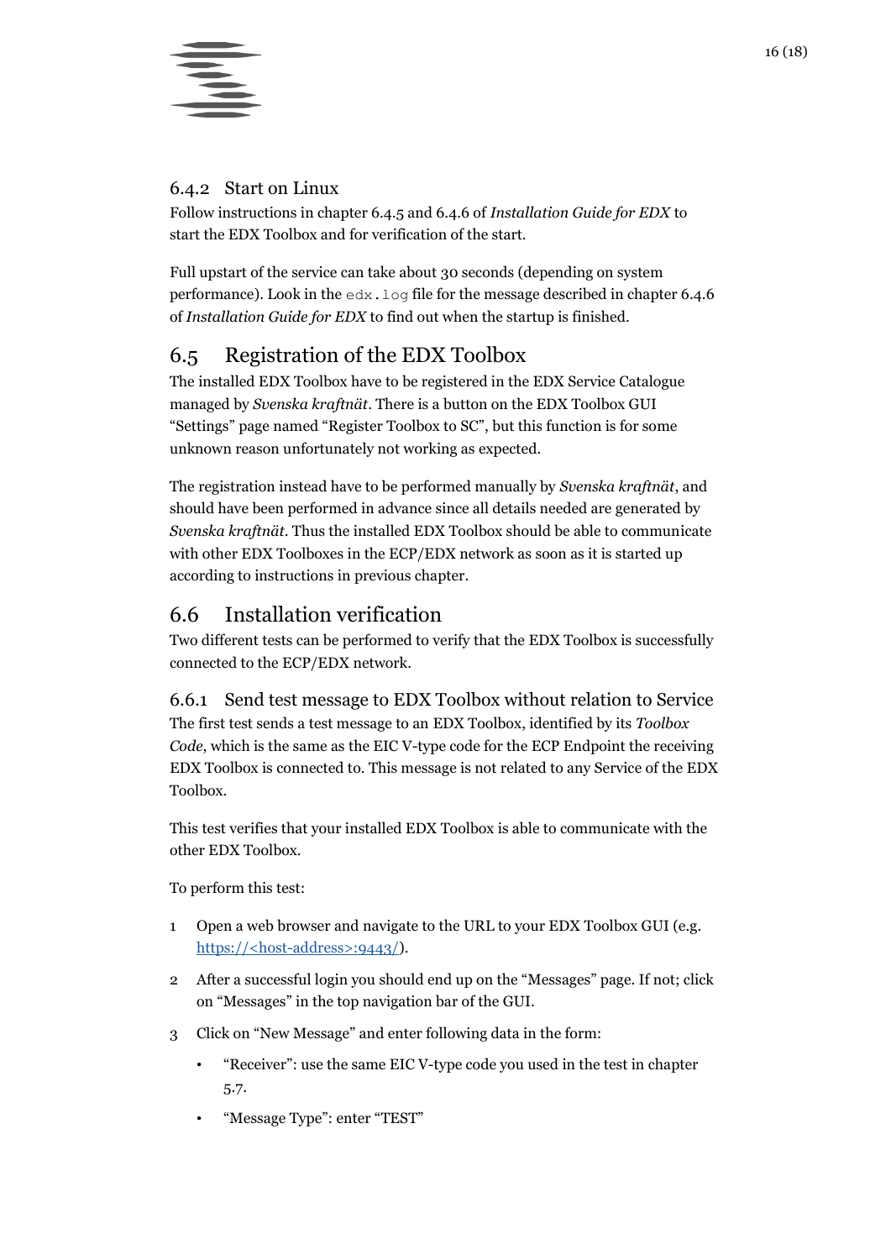



#### <span id="page-15-0"></span>6.4.2 Start on Linux

Follow instructions in chapter 6.4.5 and 6.4.6 of *Installation Guide for EDX* to start the EDX Toolbox and for verification of the start.

Full upstart of the service can take about 30 seconds (depending on system performance). Look in the edx.log file for the message described in chapter 6.4.6 of *Installation Guide for EDX* to find out when the startup is finished.

## <span id="page-15-1"></span>6.5 Registration of the EDX Toolbox

The installed EDX Toolbox have to be registered in the EDX Service Catalogue managed by *Svenska kraftnät*. There is a button on the EDX Toolbox GUI "Settings" page named "Register Toolbox to SC", but this function is for some unknown reason unfortunately not working as expected.

The registration instead have to be performed manually by *Svenska kraftnät*, and should have been performed in advance since all details needed are generated by *Svenska kraftnät*. Thus the installed EDX Toolbox should be able to communicate with other EDX Toolboxes in the ECP/EDX network as soon as it is started up according to instructions in previous chapter.

## <span id="page-15-2"></span>6.6 Installation verification

Two different tests can be performed to verify that the EDX Toolbox is successfully connected to the ECP/EDX network.

<span id="page-15-3"></span>6.6.1 Send test message to EDX Toolbox without relation to Service The first test sends a test message to an EDX Toolbox, identified by its *Toolbox Code*, which is the same as the EIC V-type code for the ECP Endpoint the receiving EDX Toolbox is connected to. This message is not related to any Service of the EDX Toolbox.

This test verifies that your installed EDX Toolbox is able to communicate with the other EDX Toolbox.

To perform this test:

- 1 Open a web browser and navigate to the URL to your EDX Toolbox GUI (e.g. https://<host-address>:9443/).
- 2 After a successful login you should end up on the "Messages" page. If not; click on "Messages" in the top navigation bar of the GUI.
- 3 Click on "New Message" and enter following data in the form:
	- "Receiver": use the same EIC V-type code you used in the test in chapter [5.7.](#page-11-1)
	- "Message Type": enter "TEST"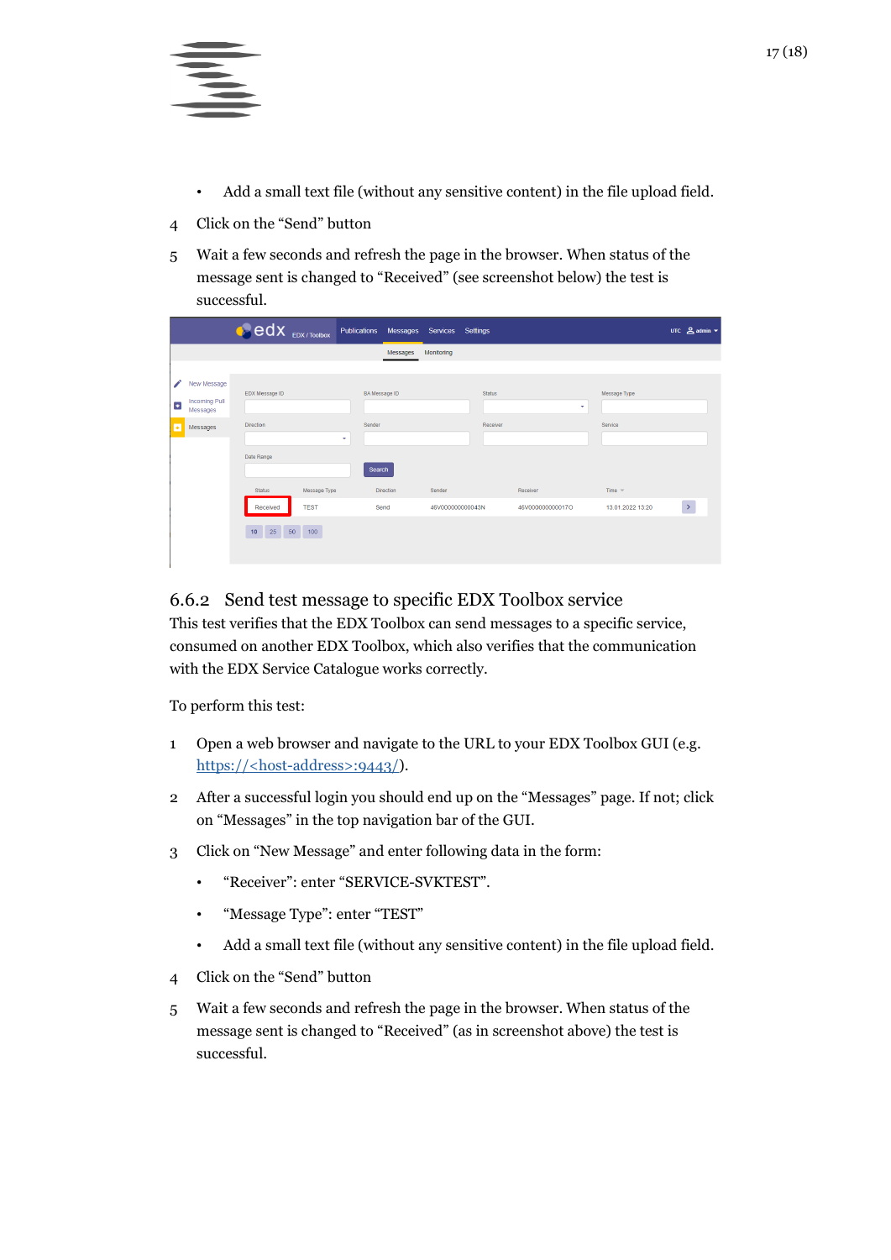

- Add a small text file (without any sensitive content) in the file upload field.
- 4 Click on the "Send" button
- 5 Wait a few seconds and refresh the page in the browser. When status of the message sent is changed to "Received" (see screenshot below) the test is successful.

|                |                                                 | <b>e</b> edx EDX / TOOIDOX |              | Publications         |                  | Messages Services Settings |  |               |                  |  |                  |  | UTC $\sum$ admin $\sim$ |
|----------------|-------------------------------------------------|----------------------------|--------------|----------------------|------------------|----------------------------|--|---------------|------------------|--|------------------|--|-------------------------|
|                |                                                 |                            |              |                      | Messages         | Monitoring                 |  |               |                  |  |                  |  |                         |
|                |                                                 |                            |              |                      |                  |                            |  |               |                  |  |                  |  |                         |
| ø              | New Message<br><b>Incoming Pull</b><br>Messages | EDX Message ID             |              | <b>BA</b> Message ID |                  |                            |  | <b>Status</b> | ٠                |  | Message Type     |  |                         |
| $\blacksquare$ | Messages                                        | <b>Direction</b>           |              | Sender<br>٠          |                  |                            |  | Receiver      |                  |  | Service          |  |                         |
|                |                                                 | Date Range                 |              | Search               |                  |                            |  |               |                  |  |                  |  |                         |
|                |                                                 | <b>Status</b>              | Message Type |                      | <b>Direction</b> | Sender                     |  |               | Receiver         |  | Time $\sqrt{ }$  |  |                         |
|                |                                                 | Received                   | <b>TEST</b>  |                      | Send             | 46V000000000043N           |  |               | 46V000000000017O |  | 13.01.2022 13:20 |  | $\rightarrow$           |
|                |                                                 | 25 50<br>10                | 100          |                      |                  |                            |  |               |                  |  |                  |  |                         |

#### <span id="page-16-0"></span>6.6.2 Send test message to specific EDX Toolbox service

This test verifies that the EDX Toolbox can send messages to a specific service, consumed on another EDX Toolbox, which also verifies that the communication with the EDX Service Catalogue works correctly.

To perform this test:

- 1 Open a web browser and navigate to the URL to your EDX Toolbox GUI (e.g. https://<host-address>:9443/).
- 2 After a successful login you should end up on the "Messages" page. If not; click on "Messages" in the top navigation bar of the GUI.
- 3 Click on "New Message" and enter following data in the form:
	- "Receiver": enter "SERVICE-SVKTEST".
	- "Message Type": enter "TEST"
	- Add a small text file (without any sensitive content) in the file upload field.
- 4 Click on the "Send" button
- 5 Wait a few seconds and refresh the page in the browser. When status of the message sent is changed to "Received" (as in screenshot above) the test is successful.